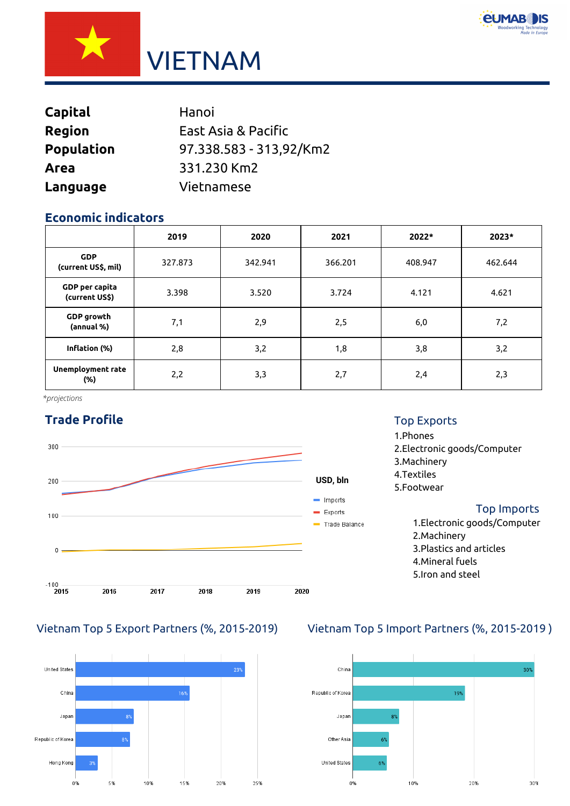



| <b>Capital</b>    | Hanoi                   |
|-------------------|-------------------------|
| <b>Region</b>     | East Asia & Pacific     |
| <b>Population</b> | 97.338.583 - 313,92/Km2 |
| Area              | 331.230 Km2             |
| Language          | Vietnamese              |

# **Economic indicators**

|                                   | 2019    | 2020    | 2021    | 2022*   | 2023*   |
|-----------------------------------|---------|---------|---------|---------|---------|
| <b>GDP</b><br>(current US\$, mil) | 327.873 | 342.941 | 366.201 | 408.947 | 462.644 |
| GDP per capita<br>(current US\$)  | 3.398   | 3.520   | 3.724   | 4.121   | 4.621   |
| <b>GDP</b> growth<br>(annual %)   | 7,1     | 2,9     | 2,5     | 6,0     | 7,2     |
| Inflation (%)                     | 2,8     | 3,2     | 1,8     | 3,8     | 3,2     |
| Unemployment rate<br>(%)          | 2,2     | 3,3     | 2,7     | 2,4     | 2,3     |

*\*projections*

# **Trade Profile**





#### Top Exports

## 1.Phones 2.Electronic goods/Computer 3.Machinery 4.Textiles 5.Footwear Top Imports 1.Electronic goods/Computer

2.Machinery 3.Plastics and articles 4.Mineral fuels 5.Iron and steel

# Vietnam Top 5 Export Partners (%, 2015-2019) Vietnam Top 5 Import Partners (%, 2015-2019 )

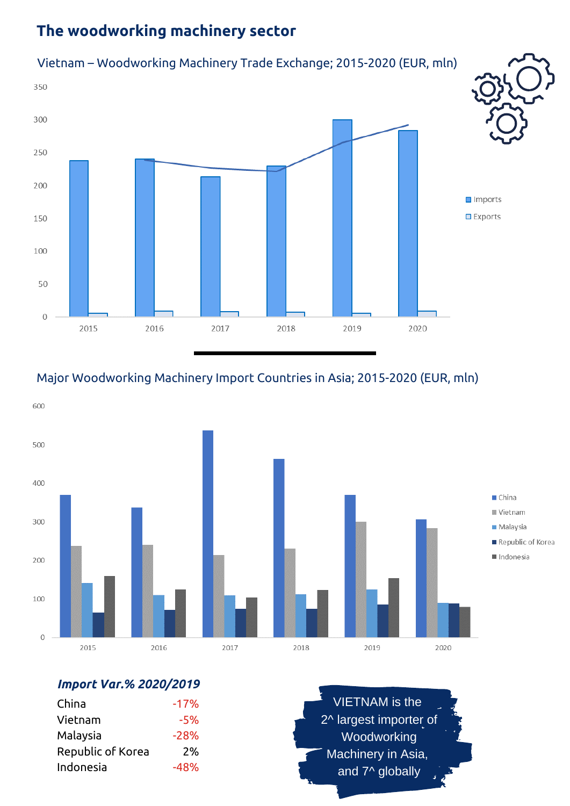# **The woodworking machinery sector**



# Major Woodworking Machinery Import Countries in Asia; 2015-2020 (EUR, mln)



# *Import Var.% 2020/2019*

| China             | $-17%$ |
|-------------------|--------|
| Vietnam           | $-5%$  |
| Malaysia          | $-28%$ |
| Republic of Korea | 2%     |
| Indonesia         | $-48%$ |

VIETNAM is the 2^ largest importer of Woodworking Machinery in Asia, and 7^ globally